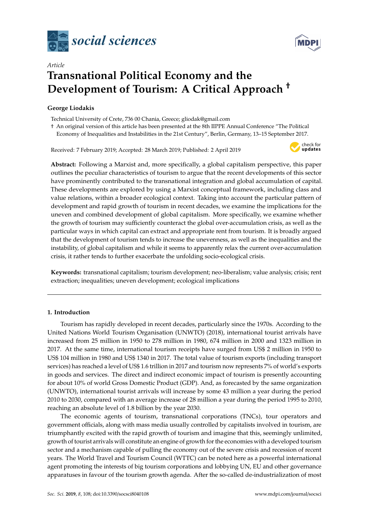



# *Article* **Transnational Political Economy and the Development of Tourism: A Critical Approach** †

# **George Liodakis**

Technical University of Crete, 736 00 Chania, Greece; gliodak@gmail.com

† An original version of this article has been presented at the 8th IIPPE Annual Conference "The Political Economy of Inequalities and Instabilities in the 21st Century", Berlin, Germany, 13–15 September 2017.

Received: 7 February 2019; Accepted: 28 March 2019; Published: 2 April 2019



**Abstract:** Following a Marxist and, more specifically, a global capitalism perspective, this paper outlines the peculiar characteristics of tourism to argue that the recent developments of this sector have prominently contributed to the transnational integration and global accumulation of capital. These developments are explored by using a Marxist conceptual framework, including class and value relations, within a broader ecological context. Taking into account the particular pattern of development and rapid growth of tourism in recent decades, we examine the implications for the uneven and combined development of global capitalism. More specifically, we examine whether the growth of tourism may sufficiently counteract the global over-accumulation crisis, as well as the particular ways in which capital can extract and appropriate rent from tourism. It is broadly argued that the development of tourism tends to increase the unevenness, as well as the inequalities and the instability, of global capitalism and while it seems to apparently relax the current over-accumulation crisis, it rather tends to further exacerbate the unfolding socio-ecological crisis.

**Keywords:** transnational capitalism; tourism development; neo-liberalism; value analysis; crisis; rent extraction; inequalities; uneven development; ecological implications

# **1. Introduction**

Tourism has rapidly developed in recent decades, particularly since the 1970s. According to the United Nations World Tourism Organisation (UNWTO) (2018), international tourist arrivals have increased from 25 million in 1950 to 278 million in 1980, 674 million in 2000 and 1323 million in 2017. At the same time, international tourism receipts have surged from US\$ 2 million in 1950 to US\$ 104 million in 1980 and US\$ 1340 in 2017. The total value of tourism exports (including transport services) has reached a level of US\$ 1.6 trillion in 2017 and tourism now represents 7% of world's exports in goods and services. The direct and indirect economic impact of tourism is presently accounting for about 10% of world Gross Domestic Product (GDP). And, as forecasted by the same organization (UNWTO), international tourist arrivals will increase by some 43 million a year during the period 2010 to 2030, compared with an average increase of 28 million a year during the period 1995 to 2010, reaching an absolute level of 1.8 billion by the year 2030.

The economic agents of tourism, transnational corporations (TNCs), tour operators and government officials, along with mass media usually controlled by capitalists involved in tourism, are triumphantly excited with the rapid growth of tourism and imagine that this, seemingly unlimited, growth of tourist arrivals will constitute an engine of growth for the economies with a developed tourism sector and a mechanism capable of pulling the economy out of the severe crisis and recession of recent years. The World Travel and Tourism Council (WTTC) can be noted here as a powerful international agent promoting the interests of big tourism corporations and lobbying UN, EU and other governance apparatuses in favour of the tourism growth agenda. After the so-called de-industrialization of most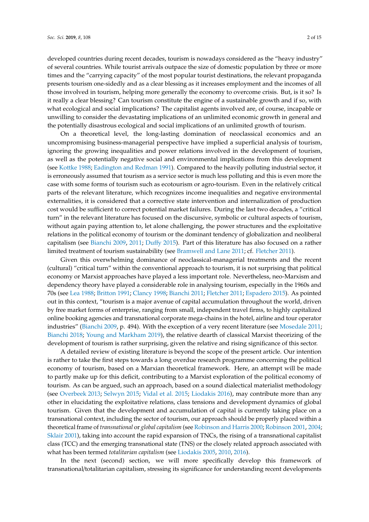developed countries during recent decades, tourism is nowadays considered as the "heavy industry" of several countries. While tourist arrivals outpace the size of domestic population by three or more times and the "carrying capacity" of the most popular tourist destinations, the relevant propaganda presents tourism one-sidedly and as a clear blessing as it increases employment and the incomes of all those involved in tourism, helping more generally the economy to overcome crisis. But, is it so? Is it really a clear blessing? Can tourism constitute the engine of a sustainable growth and if so, with what ecological and social implications? The capitalist agents involved are, of course, incapable or unwilling to consider the devastating implications of an unlimited economic growth in general and the potentially disastrous ecological and social implications of an unlimited growth of tourism.

On a theoretical level, the long-lasting domination of neoclassical economics and an uncompromising business-managerial perspective have implied a superficial analysis of tourism, ignoring the growing inequalities and power relations involved in the development of tourism, as well as the potentially negative social and environmental implications from this development (see [Kottke](#page-13-0) [1988;](#page-13-0) [Eadington and Redman](#page-12-0) [1991\)](#page-12-0). Compared to the heavily polluting industrial sector, it is erroneously assumed that tourism as a service sector is much less polluting and this is even more the case with some forms of tourism such as ecotourism or agro-tourism. Even in the relatively critical parts of the relevant literature, which recognizes income inequalities and negative environmental externalities, it is considered that a corrective state intervention and internalization of production cost would be sufficient to correct potential market failures. During the last two decades, a "critical turn" in the relevant literature has focused on the discursive, symbolic or cultural aspects of tourism, without again paying attention to, let alone challenging, the power structures and the exploitative relations in the political economy of tourism or the dominant tendency of globalization and neoliberal capitalism (see [Bianchi](#page-12-1) [2009,](#page-12-1) [2011;](#page-12-2) [Du](#page-12-3)ffy [2015\)](#page-12-3). Part of this literature has also focused on a rather limited treatment of tourism sustainability (see [Bramwell and Lane](#page-12-4) [2011;](#page-12-4) cf. [Fletcher](#page-13-1) [2011\)](#page-13-1).

Given this overwhelming dominance of neoclassical-managerial treatments and the recent (cultural) "critical turn" within the conventional approach to tourism, it is not surprising that political economy or Marxist approaches have played a less important role. Nevertheless, neo-Marxism and dependency theory have played a considerable role in analysing tourism, especially in the 1960s and 70s (see [Lea](#page-13-2) [1988;](#page-13-2) [Britton](#page-12-5) [1991;](#page-12-5) [Clancy](#page-12-6) [1998;](#page-12-6) [Bianchi](#page-12-2) [2011;](#page-12-2) [Fletcher](#page-13-1) [2011;](#page-13-1) [Espadero](#page-12-7) [2015\)](#page-12-7). As pointed out in this context, "tourism is a major avenue of capital accumulation throughout the world, driven by free market forms of enterprise, ranging from small, independent travel firms, to highly capitalized online booking agencies and transnational corporate mega-chains in the hotel, airline and tour operator industries" [\(Bianchi](#page-12-1) [2009,](#page-12-1) p. 494). With the exception of a very recent literature (see [Mosedale](#page-13-3) [2011;](#page-13-3) [Bianchi](#page-12-8) [2018;](#page-12-8) [Young and Markham](#page-14-0) [2019\)](#page-14-0), the relative dearth of classical Marxist theorizing of the development of tourism is rather surprising, given the relative and rising significance of this sector.

A detailed review of existing literature is beyond the scope of the present article. Our intention is rather to take the first steps towards a long overdue research programme concerning the political economy of tourism, based on a Marxian theoretical framework. Here, an attempt will be made to partly make up for this deficit, contributing to a Marxist exploration of the political economy of tourism. As can be argued, such an approach, based on a sound dialectical materialist methodology (see [Overbeek](#page-13-4) [2013;](#page-13-4) [Selwyn](#page-13-5) [2015;](#page-13-5) [Vidal et al.](#page-14-1) [2015;](#page-14-1) [Liodakis](#page-13-6) [2016\)](#page-13-6), may contribute more than any other in elucidating the exploitative relations, class tensions and development dynamics of global tourism. Given that the development and accumulation of capital is currently taking place on a transnational context, including the sector of tourism, our approach should be properly placed within a theoretical frame of *transnational* or *global capitalism* (see [Robinson and Harris](#page-13-7) [2000;](#page-13-7) [Robinson](#page-13-8) [2001,](#page-13-8) [2004;](#page-13-9) [Sklair](#page-13-10) [2001\)](#page-13-10), taking into account the rapid expansion of TNCs, the rising of a transnational capitalist class (TCC) and the emerging transnational state (TNS) or the closely related approach associated with what has been termed *totalitarian capitalism* (see [Liodakis](#page-13-11) [2005,](#page-13-11) [2010,](#page-13-12) [2016\)](#page-13-6).

In the next (second) section, we will more specifically develop this framework of transnational/totalitarian capitalism, stressing its significance for understanding recent developments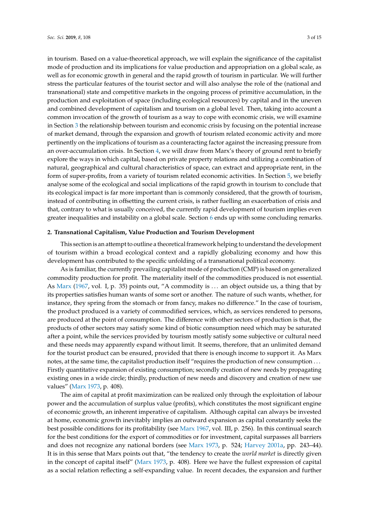in tourism. Based on a value-theoretical approach, we will explain the significance of the capitalist mode of production and its implications for value production and appropriation on a global scale, as well as for economic growth in general and the rapid growth of tourism in particular. We will further stress the particular features of the tourist sector and will also analyse the role of the (national and transnational) state and competitive markets in the ongoing process of primitive accumulation, in the production and exploitation of space (including ecological resources) by capital and in the uneven and combined development of capitalism and tourism on a global level. Then, taking into account a common invocation of the growth of tourism as a way to cope with economic crisis, we will examine in Section [3](#page-6-0) the relationship between tourism and economic crisis by focusing on the potential increase of market demand, through the expansion and growth of tourism related economic activity and more pertinently on the implications of tourism as a counteracting factor against the increasing pressure from an over-accumulation crisis. In Section [4,](#page-8-0) we will draw from Marx's theory of ground rent to briefly explore the ways in which capital, based on private property relations and utilizing a combination of natural, geographical and cultural characteristics of space, can extract and appropriate rent, in the form of super-profits, from a variety of tourism related economic activities. In Section [5,](#page-10-0) we briefly analyse some of the ecological and social implications of the rapid growth in tourism to conclude that its ecological impact is far more important than is commonly considered, that the growth of tourism, instead of contributing in offsetting the current crisis, is rather fuelling an exacerbation of crisis and that, contrary to what is usually conceived, the currently rapid development of tourism implies even greater inequalities and instability on a global scale. Section [6](#page-11-0) ends up with some concluding remarks.

#### **2. Transnational Capitalism, Value Production and Tourism Development**

This section is an attempt to outline a theoretical framework helping to understand the development of tourism within a broad ecological context and a rapidly globalizing economy and how this development has contributed to the specific unfolding of a transnational political economy.

As is familiar, the currently prevailing capitalist mode of production (CMP) is based on generalized commodity production for profit. The materiality itself of the commodities produced is not essential. As [Marx](#page-13-13) [\(1967,](#page-13-13) vol. I, p. 35) points out, "A commodity is ... an object outside us, a thing that by its properties satisfies human wants of some sort or another. The nature of such wants, whether, for instance, they spring from the stomach or from fancy, makes no difference." In the case of tourism, the product produced is a variety of commodified services, which, as services rendered to persons, are produced at the point of consumption. The difference with other sectors of production is that, the products of other sectors may satisfy some kind of biotic consumption need which may be saturated after a point, while the services provided by tourism mostly satisfy some subjective or cultural need and these needs may apparently expand without limit. It seems, therefore, that an unlimited demand for the tourist product can be ensured, provided that there is enough income to support it. As Marx notes, at the same time, the capitalist production itself "requires the production of new consumption . . . Firstly quantitative expansion of existing consumption; secondly creation of new needs by propagating existing ones in a wide circle; thirdly, production of new needs and discovery and creation of new use values" [\(Marx](#page-13-14) [1973,](#page-13-14) p. 408).

The aim of capital at profit maximization can be realized only through the exploitation of labour power and the accumulation of surplus value (profits), which constitutes the most significant engine of economic growth, an inherent imperative of capitalism. Although capital can always be invested at home, economic growth inevitably implies an outward expansion as capital constantly seeks the best possible conditions for its profitability (see [Marx](#page-13-13) [1967,](#page-13-13) vol. III, p. 256). In this continual search for the best conditions for the export of commodities or for investment, capital surpasses all barriers and does not recognize any national borders (see [Marx](#page-13-14) [1973,](#page-13-14) p. 524; [Harvey](#page-13-15) [2001a,](#page-13-15) pp. 243–44). It is in this sense that Marx points out that, "the tendency to create the *world market* is directly given in the concept of capital itself" [\(Marx](#page-13-14) [1973,](#page-13-14) p. 408). Here we have the fullest expression of capital as a social relation reflecting a self-expanding value. In recent decades, the expansion and further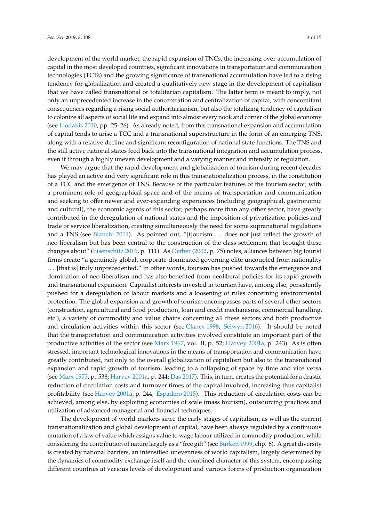development of the world market, the rapid expansion of TNCs, the increasing over-accumulation of capital in the most developed countries, significant innovations in transportation and communication technologies (TCTs) and the growing significance of transnational accumulation have led to a rising tendency for globalization and created a qualitatively new stage in the development of capitalism that we have called transnational or totalitarian capitalism. The latter term is meant to imply, not only an unprecedented increase in the concentration and centralization of capital, with concomitant consequences regarding a rising social authoritarianism, but also the totalizing tendency of capitalism to colonize all aspects of social life and expand into almost every nook and corner of the global economy (see [Liodakis](#page-13-12) [2010,](#page-13-12) pp. 25–26). As already noted, from this transnational expansion and accumulation of capital tends to arise a TCC and a transnational superstructure in the form of an emerging TNS, along with a relative decline and significant reconfiguration of national state functions. The TNS and the still active national states feed back into the transnational integration and accumulation process, even if through a highly uneven development and a varying manner and intensity of regulation.

We may argue that the rapid development and globalization of tourism during recent decades has played an active and very significant role in this transnationalization process, in the constitution of a TCC and the emergence of TNS. Because of the particular features of the tourism sector, with a prominent role of geographical space and of the means of transportation and communication and seeking to offer newer and ever-expanding experiences (including geographical, gastronomic and cultural), the economic agents of this sector, perhaps more than any other sector, have greatly contributed in the deregulation of national states and the imposition of privatization policies and trade or service liberalization, creating simultaneously the need for some supranational regulations and a TNS (see [Bianchi](#page-12-2) [2011\)](#page-12-2). As pointed out, "[t]ourism ... does not just reflect the growth of neo-liberalism but has been central to the construction of the class settlement that brought these changes about" [\(Eisenschitz](#page-12-9) [2016,](#page-12-9) p. 111). As [Derber](#page-12-10) [\(2002,](#page-12-10) p. 75) notes, alliances between big tourist firms create "a genuinely global, corporate-dominated governing elite uncoupled from nationality . . . [that is] truly unprecedented." In other words, tourism has pushed towards the emergence and domination of neo-liberalism and has also benefited from neoliberal policies for its rapid growth and transnational expansion. Capitalist interests invested in tourism have, among else, persistently pushed for a deregulation of labour markets and a loosening of rules concerning environmental protection. The global expansion and growth of tourism encompasses parts of several other sectors (construction, agricultural and food production, loan and credit mechanisms, commercial handling, etc.), a variety of commodity and value chains concerning all these sectors and both productive and circulation activities within this sector (see [Clancy](#page-12-6) [1998;](#page-12-6) [Selwyn](#page-13-16) [2016\)](#page-13-16). It should be noted that the transportation and communication activities involved constitute an important part of the productive activities of the sector (see [Marx](#page-13-13) [1967,](#page-13-13) vol. II, p. 52; [Harvey](#page-13-15) [2001a,](#page-13-15) p. 243). As is often stressed, important technological innovations in the means of transportation and communication have greatly contributed, not only to the overall globalization of capitalism but also to the transnational expansion and rapid growth of tourism, leading to a collapsing of space by time and vice versa (see [Marx](#page-13-14) [1973,](#page-13-14) p. 538; [Harvey](#page-13-15) [2001a,](#page-13-15) p. 244; [Das](#page-12-11) [2017\)](#page-12-11). This, in turn, creates the potential for a drastic reduction of circulation costs and turnover times of the capital involved, increasing thus capitalist profitability (see [Harvey](#page-13-15) [2001a,](#page-13-15) p. 244; [Espadero](#page-12-7) [2015\)](#page-12-7). This reduction of circulation costs can be achieved, among else, by exploiting economies of scale (mass tourism), outsourcing practices and utilization of advanced managerial and financial techniques.

The development of world markets since the early stages of capitalism, as well as the current transnationalization and global development of capital, have been always regulated by a continuous mutation of a law of value which assigns value to wage labour utilized in commodity production, while considering the contribution of nature largely as a "free gift" (see [Burkett](#page-12-12) [1999,](#page-12-12) chp. 6). A great diversity is created by national barriers, an intensified unevenness of world capitalism, largely determined by the dynamics of commodity exchange itself and the combined character of this system, encompassing different countries at various levels of development and various forms of production organization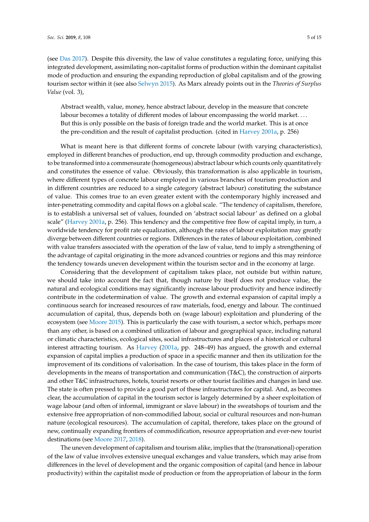(see [Das](#page-12-11) [2017\)](#page-12-11). Despite this diversity, the law of value constitutes a regulating force, unifying this integrated development, assimilating non-capitalist forms of production within the dominant capitalist mode of production and ensuring the expanding reproduction of global capitalism and of the growing tourism sector within it (see also [Selwyn](#page-13-5) [2015\)](#page-13-5). As Marx already points out in the *Theories of Surplus Value* (vol. 3),

Abstract wealth, value, money, hence abstract labour, develop in the measure that concrete labour becomes a totality of different modes of labour encompassing the world market. . . . But this is only possible on the basis of foreign trade and the world market. This is at once the pre-condition and the result of capitalist production. (cited in [Harvey](#page-13-15) [2001a,](#page-13-15) p. 256)

What is meant here is that different forms of concrete labour (with varying characteristics), employed in different branches of production, end up, through commodity production and exchange, to be transformed into a commensurate (homogeneous) abstract labour which counts only quantitatively and constitutes the essence of value. Obviously, this transformation is also applicable in tourism, where different types of concrete labour employed in various branches of tourism production and in different countries are reduced to a single category (abstract labour) constituting the substance of value. This comes true to an even greater extent with the contemporary highly increased and inter-penetrating commodity and capital flows on a global scale. "The tendency of capitalism, therefore, is to establish a universal set of values, founded on 'abstract social labour' as defined on a global scale" [\(Harvey](#page-13-15) [2001a,](#page-13-15) p. 256). This tendency and the competitive free flow of capital imply, in turn, a worldwide tendency for profit rate equalization, although the rates of labour exploitation may greatly diverge between different countries or regions. Differences in the rates of labour exploitation, combined with value transfers associated with the operation of the law of value, tend to imply a strengthening of the advantage of capital originating in the more advanced countries or regions and this may reinforce the tendency towards uneven development within the tourism sector and in the economy at large.

Considering that the development of capitalism takes place, not outside but within nature, we should take into account the fact that, though nature by itself does not produce value, the natural and ecological conditions may significantly increase labour productivity and hence indirectly contribute in the codetermination of value. The growth and external expansion of capital imply a continuous search for increased resources of raw materials, food, energy and labour. The continued accumulation of capital, thus, depends both on (wage labour) exploitation and plundering of the ecosystem (see [Moore](#page-13-17) [2015\)](#page-13-17). This is particularly the case with tourism, a sector which, perhaps more than any other, is based on a combined utilization of labour and geographical space, including natural or climatic characteristics, ecological sites, social infrastructures and places of a historical or cultural interest attracting tourism. As [Harvey](#page-13-15) [\(2001a,](#page-13-15) pp. 248–49) has argued, the growth and external expansion of capital implies a production of space in a specific manner and then its utilization for the improvement of its conditions of valorisation. In the case of tourism, this takes place in the form of developments in the means of transportation and communication (T&C), the construction of airports and other T&C infrastructures, hotels, tourist resorts or other tourist facilities and changes in land use. The state is often pressed to provide a good part of these infrastructures for capital. And, as becomes clear, the accumulation of capital in the tourism sector is largely determined by a sheer exploitation of wage labour (and often of informal, immigrant or slave labour) in the sweatshops of tourism and the extensive free appropriation of non-commodified labour, social or cultural resources and non-human nature (ecological resources). The accumulation of capital, therefore, takes place on the ground of new, continually expanding frontiers of commodification, resource appropriation and ever-new tourist destinations (see [Moore](#page-13-18) [2017,](#page-13-18) [2018\)](#page-13-19).

The uneven development of capitalism and tourism alike, implies that the (transnational) operation of the law of value involves extensive unequal exchanges and value transfers, which may arise from differences in the level of development and the organic composition of capital (and hence in labour productivity) within the capitalist mode of production or from the appropriation of labour in the form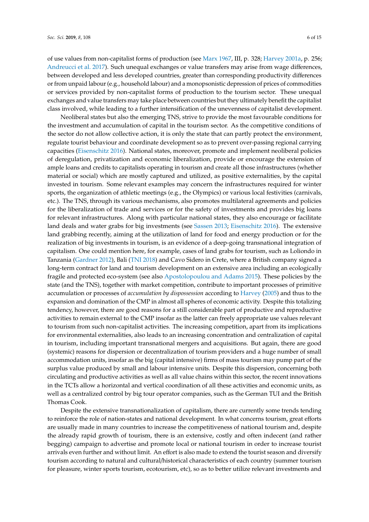of use values from non-capitalist forms of production (see [Marx](#page-13-13) [1967,](#page-13-13) III, p. 328; [Harvey](#page-13-15) [2001a,](#page-13-15) p. 256; [Andreucci et al.](#page-12-13) [2017\)](#page-12-13). Such unequal exchanges or value transfers may arise from wage differences, between developed and less developed countries, greater than corresponding productivity differences or from unpaid labour (e.g., household labour) and a monopsonistic depression of prices of commodities or services provided by non-capitalist forms of production to the tourism sector. These unequal exchanges and value transfers may take place between countries but they ultimately benefit the capitalist class involved, while leading to a further intensification of the unevenness of capitalist development.

Neoliberal states but also the emerging TNS, strive to provide the most favourable conditions for the investment and accumulation of capital in the tourism sector. As the competitive conditions of the sector do not allow collective action, it is only the state that can partly protect the environment, regulate tourist behaviour and coordinate development so as to prevent over-passing regional carrying capacities [\(Eisenschitz](#page-12-9) [2016\)](#page-12-9). National states, moreover, promote and implement neoliberal policies of deregulation, privatization and economic liberalization, provide or encourage the extension of ample loans and credits to capitalists operating in tourism and create all those infrastructures (whether material or social) which are mostly captured and utilized, as positive externalities, by the capital invested in tourism. Some relevant examples may concern the infrastructures required for winter sports, the organization of athletic meetings (e.g., the Olympics) or various local festivities (carnivals, etc.). The TNS, through its various mechanisms, also promotes multilateral agreements and policies for the liberalization of trade and services or for the safety of investments and provides big loans for relevant infrastructures. Along with particular national states, they also encourage or facilitate land deals and water grabs for big investments (see [Sassen](#page-13-20) [2013;](#page-13-20) [Eisenschitz](#page-12-9) [2016\)](#page-12-9). The extensive land grabbing recently, aiming at the utilization of land for food and energy production or for the realization of big investments in tourism, is an evidence of a deep-going transnational integration of capitalism. One could mention here, for example, cases of land grabs for tourism, such as Loliondo in Tanzania [\(Gardner](#page-13-21) [2012\)](#page-13-21), Bali [\(TNI](#page-13-22) [2018\)](#page-13-22) and Cavo Sidero in Crete, where a British company signed a long-term contract for land and tourism development on an extensive area including an ecologically fragile and protected eco-system (see also [Apostolopoulou and Adams](#page-12-14) [2015\)](#page-12-14). These policies by the state (and the TNS), together with market competition, contribute to important processes of primitive accumulation or processes of *accumulation by dispossession* according to [Harvey](#page-13-23) [\(2005\)](#page-13-23) and thus to the expansion and domination of the CMP in almost all spheres of economic activity. Despite this totalizing tendency, however, there are good reasons for a still considerable part of productive and reproductive activities to remain external to the CMP insofar as the latter can freely appropriate use values relevant to tourism from such non-capitalist activities. The increasing competition, apart from its implications for environmental externalities, also leads to an increasing concentration and centralization of capital in tourism, including important transnational mergers and acquisitions. But again, there are good (systemic) reasons for dispersion or decentralization of tourism providers and a huge number of small accommodation units, insofar as the big (capital intensive) firms of mass tourism may pump part of the surplus value produced by small and labour intensive units. Despite this dispersion, concerning both circulating and productive activities as well as all value chains within this sector, the recent innovations in the TCTs allow a horizontal and vertical coordination of all these activities and economic units, as well as a centralized control by big tour operator companies, such as the German TUI and the British Thomas Cook.

Despite the extensive transnationalization of capitalism, there are currently some trends tending to reinforce the role of nation-states and national development. In what concerns tourism, great efforts are usually made in many countries to increase the competitiveness of national tourism and, despite the already rapid growth of tourism, there is an extensive, costly and often indecent (and rather begging) campaign to advertise and promote local or national tourism in order to increase tourist arrivals even further and without limit. An effort is also made to extend the tourist season and diversify tourism according to natural and cultural/historical characteristics of each country (summer tourism for pleasure, winter sports tourism, ecotourism, etc), so as to better utilize relevant investments and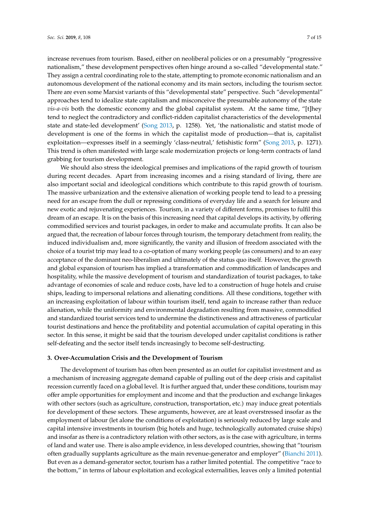increase revenues from tourism. Based, either on neoliberal policies or on a presumably "progressive nationalism," these development perspectives often hinge around a so-called "developmental state." They assign a central coordinating role to the state, attempting to promote economic nationalism and an autonomous development of the national economy and its main sectors, including the tourism sector. There are even some Marxist variants of this "developmental state" perspective. Such "developmental" approaches tend to idealize state capitalism and misconceive the presumable autonomy of the state *vis-a-vis* both the domestic economy and the global capitalist system. At the same time, "[t]hey tend to neglect the contradictory and conflict-ridden capitalist characteristics of the developmental state and state-led development' [\(Song](#page-13-24) [2013,](#page-13-24) p. 1258). Yet, 'the nationalistic and statist mode of development is one of the forms in which the capitalist mode of production—that is, capitalist

exploitation—expresses itself in a seemingly 'class-neutral,' fetishistic form" [\(Song](#page-13-24) [2013,](#page-13-24) p. 1271). This trend is often manifested with large scale modernization projects or long-term contracts of land

grabbing for tourism development. We should also stress the ideological premises and implications of the rapid growth of tourism during recent decades. Apart from increasing incomes and a rising standard of living, there are also important social and ideological conditions which contribute to this rapid growth of tourism. The massive urbanization and the extensive alienation of working people tend to lead to a pressing need for an escape from the dull or repressing conditions of everyday life and a search for leisure and new exotic and rejuvenating experiences. Tourism, in a variety of different forms, promises to fulfil this dream of an escape. It is on the basis of this increasing need that capital develops its activity, by offering commodified services and tourist packages, in order to make and accumulate profits. It can also be argued that, the recreation of labour forces through tourism, the temporary detachment from reality, the induced individualism and, more significantly, the vanity and illusion of freedom associated with the choice of a tourist trip may lead to a co-optation of many working people (as consumers) and to an easy acceptance of the dominant neo-liberalism and ultimately of the status quo itself. However, the growth and global expansion of tourism has implied a transformation and commodification of landscapes and hospitality, while the massive development of tourism and standardization of tourist packages, to take advantage of economies of scale and reduce costs, have led to a construction of huge hotels and cruise ships, leading to impersonal relations and alienating conditions. All these conditions, together with an increasing exploitation of labour within tourism itself, tend again to increase rather than reduce alienation, while the uniformity and environmental degradation resulting from massive, commodified and standardized tourist services tend to undermine the distinctiveness and attractiveness of particular tourist destinations and hence the profitability and potential accumulation of capital operating in this sector. In this sense, it might be said that the tourism developed under capitalist conditions is rather self-defeating and the sector itself tends increasingly to become self-destructing.

#### <span id="page-6-0"></span>**3. Over-Accumulation Crisis and the Development of Tourism**

The development of tourism has often been presented as an outlet for capitalist investment and as a mechanism of increasing aggregate demand capable of pulling out of the deep crisis and capitalist recession currently faced on a global level. It is further argued that, under these conditions, tourism may offer ample opportunities for employment and income and that the production and exchange linkages with other sectors (such as agriculture, construction, transportation, etc.) may induce great potentials for development of these sectors. These arguments, however, are at least overstressed insofar as the employment of labour (let alone the conditions of exploitation) is seriously reduced by large scale and capital intensive investments in tourism (big hotels and huge, technologically automated cruise ships) and insofar as there is a contradictory relation with other sectors, as is the case with agriculture, in terms of land and water use. There is also ample evidence, in less developed countries, showing that "tourism often gradually supplants agriculture as the main revenue-generator and employer" [\(Bianchi](#page-12-2) [2011\)](#page-12-2). But even as a demand-generator sector, tourism has a rather limited potential. The competitive "race to the bottom," in terms of labour exploitation and ecological externalities, leaves only a limited potential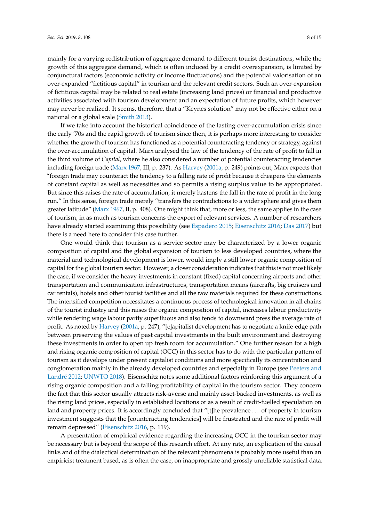mainly for a varying redistribution of aggregate demand to different tourist destinations, while the growth of this aggregate demand, which is often induced by a credit overexpansion, is limited by conjunctural factors (economic activity or income fluctuations) and the potential valorisation of an over-expanded "fictitious capital" in tourism and the relevant credit sectors. Such an over-expansion of fictitious capital may be related to real estate (increasing land prices) or financial and productive activities associated with tourism development and an expectation of future profits, which however may never be realized. It seems, therefore, that a "Keynes solution" may not be effective either on a national or a global scale [\(Smith](#page-13-25) [2013\)](#page-13-25).

If we take into account the historical coincidence of the lasting over-accumulation crisis since the early '70s and the rapid growth of tourism since then, it is perhaps more interesting to consider whether the growth of tourism has functioned as a potential counteracting tendency or strategy, against the over-accumulation of capital. Marx analysed the law of the tendency of the rate of profit to fall in the third volume of *Capital*, where he also considered a number of potential counteracting tendencies including foreign trade [\(Marx](#page-13-13) [1967,](#page-13-13) III, p. 237). As [Harvey](#page-13-15) [\(2001a,](#page-13-15) p. 249) points out, Marx expects that "foreign trade may counteract the tendency to a falling rate of profit because it cheapens the elements of constant capital as well as necessities and so permits a rising surplus value to be appropriated. But since this raises the rate of accumulation, it merely hastens the fall in the rate of profit in the long run." In this sense, foreign trade merely "transfers the contradictions to a wider sphere and gives them greater latitude" [\(Marx](#page-13-13) [1967,](#page-13-13) II, p. 408). One might think that, more or less, the same applies in the case of tourism, in as much as tourism concerns the export of relevant services. A number of researchers have already started examining this possibility (see [Espadero](#page-12-7) [2015;](#page-12-7) [Eisenschitz](#page-12-9) [2016;](#page-12-9) [Das](#page-12-11) [2017\)](#page-12-11) but there is a need here to consider this case further.

One would think that tourism as a service sector may be characterized by a lower organic composition of capital and the global expansion of tourism to less developed countries, where the material and technological development is lower, would imply a still lower organic composition of capital for the global tourism sector. However, a closer consideration indicates that this is not most likely the case, if we consider the heavy investments in constant (fixed) capital concerning airports and other transportation and communication infrastructures, transportation means (aircrafts, big cruisers and car rentals), hotels and other tourist facilities and all the raw materials required for these constructions. The intensified competition necessitates a continuous process of technological innovation in all chains of the tourist industry and this raises the organic composition of capital, increases labour productivity while rendering wage labour partly superfluous and also tends to downward press the average rate of profit. As noted by [Harvey](#page-13-15) [\(2001a,](#page-13-15) p. 247), "[c]apitalist development has to negotiate a knife-edge path between preserving the values of past capital investments in the built environment and destroying these investments in order to open up fresh room for accumulation." One further reason for a high and rising organic composition of capital (OCC) in this sector has to do with the particular pattern of tourism as it develops under present capitalist conditions and more specifically its concentration and conglomeration mainly in the already developed countries and especially in Europe (see [Peeters and](#page-13-26) [Landr](#page-13-26)é [2012;](#page-13-26) [UNWTO](#page-14-2) [2018\)](#page-14-2). Eisenschitz notes some additional factors reinforcing this argument of a rising organic composition and a falling profitability of capital in the tourism sector. They concern the fact that this sector usually attracts risk-averse and mainly asset-backed investments, as well as the rising land prices, especially in established locations or as a result of credit-fuelled speculation on land and property prices. It is accordingly concluded that "[t]he prevalence ... of property in tourism investment suggests that the [counteracting tendencies] will be frustrated and the rate of profit will remain depressed" [\(Eisenschitz](#page-12-9) [2016,](#page-12-9) p. 119).

A presentation of empirical evidence regarding the increasing OCC in the tourism sector may be necessary but is beyond the scope of this research effort. At any rate, an explication of the causal links and of the dialectical determination of the relevant phenomena is probably more useful than an empiricist treatment based, as is often the case, on inappropriate and grossly unreliable statistical data.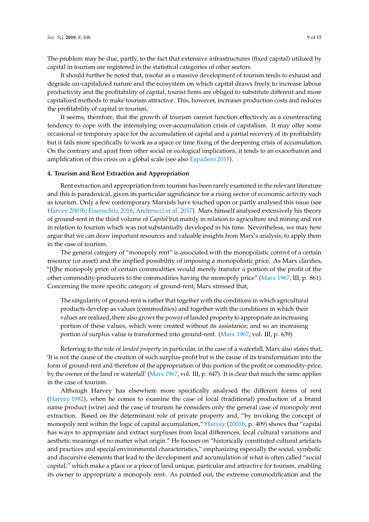The problem may be due, partly, to the fact that extensive infrastructures (fixed capital) utilized by capital in tourism are registered in the statistical categories of other sectors.

It should further be noted that, insofar as a massive development of tourism tends to exhaust and degrade un-capitalized nature and the ecosystem on which capital draws freely to increase labour productivity and the profitability of capital, tourist firms are obliged to substitute different and more capitalized methods to make tourism attractive. This, however, increases production costs and reduces the profitability of capital in tourism.

It seems, therefore, that the growth of tourism cannot function effectively as a counteracting tendency to cope with the intensifying over-accumulation crisis of capitalism. It may offer some occasional or temporary space for the accumulation of capital and a partial recovery of its profitability but it fails more specifically to work as a space or time fixing of the deepening crisis of accumulation. On the contrary and apart from other social or ecological implications, it tends to an exacerbation and amplification of this crisis on a global scale (see also [Espadero](#page-12-7) [2015\)](#page-12-7).

## <span id="page-8-0"></span>**4. Tourism and Rent Extraction and Appropriation**

Rent extraction and appropriation from tourism has been rarely examined in the relevant literature and this is paradoxical, given its particular significance for a rising sector of economic activity such as tourism. Only a few contemporary Marxists have touched upon or partly analysed this issue (see [Harvey](#page-13-27) [2001b;](#page-13-27) [Eisenschitz](#page-12-9) [2016;](#page-12-9) [Andreucci et al.](#page-12-13) [2017\)](#page-12-13). Marx himself analysed extensively his theory of ground-rent in the third volume of *Capital* but mainly in relation to agriculture and mining and not in relation to tourism which was not substantially developed in his time. Nevertheless, we may here argue that we can draw important resources and valuable insights from Marx's analysis, to apply them in the case of tourism.

The general category of "monopoly rent" is associated with the monopolistic control of a certain resource (or asset) and the implied possibility of imposing a monopolistic price. As Marx clarifies, "[t]he monopoly price of certain commodities would merely transfer a portion of the profit of the other commodity-producers to the commodities having the monopoly price" [\(Marx](#page-13-13) [1967,](#page-13-13) III, p. 861). Concerning the more specific category of ground-rent, Marx stressed that,

The singularity of ground-rent is rather that together with the conditions in which agricultural products develop as values (commodities) and together with the conditions in which their values are realized, there also grows the power of landed property to appropriate an increasing portion of these values, which were created without its assistance; and so an increasing portion of surplus value is transformed into ground-rent. [\(Marx](#page-13-13) [1967,](#page-13-13) vol. III, p. 639)

Referring to the role of *landed property* in particular, in the case of a waterfall, Marx also states that, 'It is not the cause of the creation of such surplus-profit but is the cause of its transformation into the form of ground-rent and therefore of the appropriation of this portion of the profit or commodity-price, by the owner of the land or waterfall' [\(Marx](#page-13-13) [1967,](#page-13-13) vol. III, p. 647). It is clear that much the same applies in the case of tourism.

Although Harvey has elsewhere more specifically analysed the different forms of rent [\(Harvey](#page-13-28) [1982\)](#page-13-28), when he comes to examine the case of local (traditional) production of a brand name product (wine) and the case of tourism he considers only the general case of monopoly rent extraction. Based on the determinant role of private property and, "by invoking the concept of monopoly rent within the logic of capital accumulation," [Harvey](#page-13-27) [\(2001b,](#page-13-27) p. 409) shows that "capital has ways to appropriate and extract surpluses from local differences, local cultural variations and aesthetic meanings of no matter what origin." He focuses on "historically constituted cultural artefacts and practices and special environmental characteristics," emphasizing especially the social, symbolic and discursive elements that lead to the development and accumulation of what is often called "social capital," which make a place or a piece of land unique, particular and attractive for tourism, enabling its owner to appropriate a monopoly rent. As pointed out, the extreme commodification and the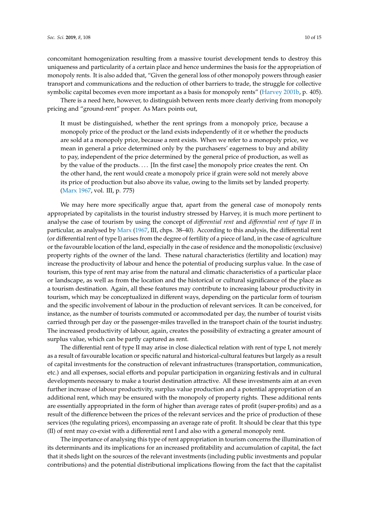concomitant homogenization resulting from a massive tourist development tends to destroy this uniqueness and particularity of a certain place and hence undermines the basis for the appropriation of monopoly rents. It is also added that, "Given the general loss of other monopoly powers through easier transport and communications and the reduction of other barriers to trade, the struggle for collective symbolic capital becomes even more important as a basis for monopoly rents" [\(Harvey](#page-13-27) [2001b,](#page-13-27) p. 405).

There is a need here, however, to distinguish between rents more clearly deriving from monopoly pricing and "ground-rent" proper. As Marx points out,

It must be distinguished, whether the rent springs from a monopoly price, because a monopoly price of the product or the land exists independently of it or whether the products are sold at a monopoly price, because a rent exists. When we refer to a monopoly price, we mean in general a price determined only by the purchasers' eagerness to buy and ability to pay, independent of the price determined by the general price of production, as well as by the value of the products. . . . [In the first case] the monopoly price creates the rent. On the other hand, the rent would create a monopoly price if grain were sold not merely above its price of production but also above its value, owing to the limits set by landed property. [\(Marx](#page-13-13) [1967,](#page-13-13) vol. III, p. 775)

We may here more specifically argue that, apart from the general case of monopoly rents appropriated by capitalists in the tourist industry stressed by Harvey, it is much more pertinent to analyse the case of tourism by using the concept of *di*ff*erential rent* and *di*ff*erential rent of type II* in particular, as analysed by [Marx](#page-13-13) [\(1967,](#page-13-13) III, chps. 38–40). According to this analysis, the differential rent (or differential rent of type I) arises from the degree of fertility of a piece of land, in the case of agriculture or the favourable location of the land, especially in the case of residence and the monopolistic (exclusive) property rights of the owner of the land. These natural characteristics (fertility and location) may increase the productivity of labour and hence the potential of producing surplus value. In the case of tourism, this type of rent may arise from the natural and climatic characteristics of a particular place or landscape, as well as from the location and the historical or cultural significance of the place as a tourism destination. Again, all these features may contribute to increasing labour productivity in tourism, which may be conceptualized in different ways, depending on the particular form of tourism and the specific involvement of labour in the production of relevant services. It can be conceived, for instance, as the number of tourists commuted or accommodated per day, the number of tourist visits carried through per day or the passenger-miles travelled in the transport chain of the tourist industry. The increased productivity of labour, again, creates the possibility of extracting a greater amount of surplus value, which can be partly captured as rent.

The differential rent of type II may arise in close dialectical relation with rent of type I, not merely as a result of favourable location or specific natural and historical-cultural features but largely as a result of capital investments for the construction of relevant infrastructures (transportation, communication, etc.) and all expenses, social efforts and popular participation in organizing festivals and in cultural developments necessary to make a tourist destination attractive. All these investments aim at an even further increase of labour productivity, surplus value production and a potential appropriation of an additional rent, which may be ensured with the monopoly of property rights. These additional rents are essentially appropriated in the form of higher than average rates of profit (super-profits) and as a result of the difference between the prices of the relevant services and the price of production of these services (the regulating prices), encompassing an average rate of profit. It should be clear that this type (II) of rent may co-exist with a differential rent I and also with a general monopoly rent.

The importance of analysing this type of rent appropriation in tourism concerns the illumination of its determinants and its implications for an increased profitability and accumulation of capital, the fact that it sheds light on the sources of the relevant investments (including public investments and popular contributions) and the potential distributional implications flowing from the fact that the capitalist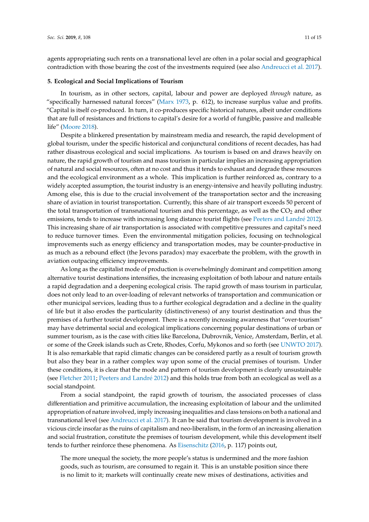agents appropriating such rents on a transnational level are often in a polar social and geographical contradiction with those bearing the cost of the investments required (see also [Andreucci et al.](#page-12-13) [2017\)](#page-12-13).

#### <span id="page-10-0"></span>**5. Ecological and Social Implications of Tourism**

In tourism, as in other sectors, capital, labour and power are deployed *through* nature, as "specifically harnessed natural forces" [\(Marx](#page-13-14) [1973,](#page-13-14) p. 612), to increase surplus value and profits. "Capital is itself co-produced. In turn, it co-produces specific historical natures, albeit under conditions that are full of resistances and frictions to capital's desire for a world of fungible, passive and malleable life" [\(Moore](#page-13-19) [2018\)](#page-13-19).

Despite a blinkered presentation by mainstream media and research, the rapid development of global tourism, under the specific historical and conjunctural conditions of recent decades, has had rather disastrous ecological and social implications. As tourism is based on and draws heavily on nature, the rapid growth of tourism and mass tourism in particular implies an increasing appropriation of natural and social resources, often at no cost and thus it tends to exhaust and degrade these resources and the ecological environment as a whole. This implication is further reinforced as, contrary to a widely accepted assumption, the tourist industry is an energy-intensive and heavily polluting industry. Among else, this is due to the crucial involvement of the transportation sector and the increasing share of aviation in tourist transportation. Currently, this share of air transport exceeds 50 percent of the total transportation of transnational tourism and this percentage, as well as the  $CO<sub>2</sub>$  and other emissions, tends to increase with increasing long distance tourist flights (see [Peeters and Landr](#page-13-26)é [2012\)](#page-13-26). This increasing share of air transportation is associated with competitive pressures and capital's need to reduce turnover times. Even the environmental mitigation policies, focusing on technological improvements such as energy efficiency and transportation modes, may be counter-productive in as much as a rebound effect (the Jevons paradox) may exacerbate the problem, with the growth in aviation outpacing efficiency improvements.

As long as the capitalist mode of production is overwhelmingly dominant and competition among alternative tourist destinations intensifies, the increasing exploitation of both labour and nature entails a rapid degradation and a deepening ecological crisis. The rapid growth of mass tourism in particular, does not only lead to an over-loading of relevant networks of transportation and communication or other municipal services, leading thus to a further ecological degradation and a decline in the quality of life but it also erodes the particularity (distinctiveness) of any tourist destination and thus the premises of a further tourist development. There is a recently increasing awareness that "over-tourism" may have detrimental social and ecological implications concerning popular destinations of urban or summer tourism, as is the case with cities like Barcelona, Dubrovnik, Venice, Amsterdam, Berlin, et al. or some of the Greek islands such as Crete, Rhodes, Corfu, Mykonos and so forth (see [UNWTO](#page-14-3) [2017\)](#page-14-3). It is also remarkable that rapid climatic changes can be considered partly as a result of tourism growth but also they bear in a rather complex way upon some of the crucial premises of tourism. Under these conditions, it is clear that the mode and pattern of tourism development is clearly unsustainable (see [Fletcher](#page-13-1) [2011;](#page-13-1) [Peeters and Landr](#page-13-26)é [2012\)](#page-13-26) and this holds true from both an ecological as well as a social standpoint.

From a social standpoint, the rapid growth of tourism, the associated processes of class differentiation and primitive accumulation, the increasing exploitation of labour and the unlimited appropriation of nature involved, imply increasing inequalities and class tensions on both a national and transnational level (see [Andreucci et al.](#page-12-13) [2017\)](#page-12-13). It can be said that tourism development is involved in a vicious circle insofar as the ruins of capitalism and neo-liberalism, in the form of an increasing alienation and social frustration, constitute the premises of tourism development, while this development itself tends to further reinforce these phenomena. As [Eisenschitz](#page-12-9) [\(2016,](#page-12-9) p. 117) points out,

The more unequal the society, the more people's status is undermined and the more fashion goods, such as tourism, are consumed to regain it. This is an unstable position since there is no limit to it; markets will continually create new mixes of destinations, activities and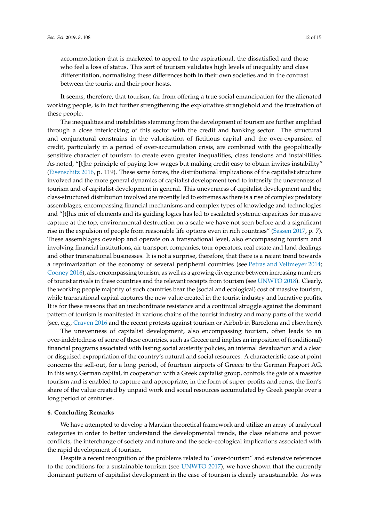accommodation that is marketed to appeal to the aspirational, the dissatisfied and those who feel a loss of status. This sort of tourism validates high levels of inequality and class differentiation, normalising these differences both in their own societies and in the contrast between the tourist and their poor hosts.

It seems, therefore, that tourism, far from offering a true social emancipation for the alienated working people, is in fact further strengthening the exploitative stranglehold and the frustration of these people.

The inequalities and instabilities stemming from the development of tourism are further amplified through a close interlocking of this sector with the credit and banking sector. The structural and conjunctural constrains in the valorisation of fictitious capital and the over-expansion of credit, particularly in a period of over-accumulation crisis, are combined with the geopolitically sensitive character of tourism to create even greater inequalities, class tensions and instabilities. As noted, "[t]he principle of paying low wages but making credit easy to obtain invites instability" [\(Eisenschitz](#page-12-9) [2016,](#page-12-9) p. 119). These same forces, the distributional implications of the capitalist structure involved and the more general dynamics of capitalist development tend to intensify the unevenness of tourism and of capitalist development in general. This unevenness of capitalist development and the class-structured distribution involved are recently led to extremes as there is a rise of complex predatory assemblages, encompassing financial mechanisms and complex types of knowledge and technologies and "[t]his mix of elements and its guiding logics has led to escalated systemic capacities for massive capture at the top, environmental destruction on a scale we have not seen before and a significant rise in the expulsion of people from reasonable life options even in rich countries" [\(Sassen](#page-13-29) [2017,](#page-13-29) p. 7). These assemblages develop and operate on a transnational level, also encompassing tourism and involving financial institutions, air transport companies, tour operators, real estate and land dealings and other transnational businesses. It is not a surprise, therefore, that there is a recent trend towards a reprimarization of the economy of several peripheral countries (see [Petras and Veltmeyer](#page-13-30) [2014;](#page-13-30) [Cooney](#page-12-15) [2016\)](#page-12-15), also encompassing tourism, as well as a growing divergence between increasing numbers of tourist arrivals in these countries and the relevant receipts from tourism (see [UNWTO](#page-14-2) [2018\)](#page-14-2). Clearly, the working people majority of such countries bear the (social and ecological) cost of massive tourism, while transnational capital captures the new value created in the tourist industry and lucrative profits. It is for these reasons that an insubordinate resistance and a continual struggle against the dominant pattern of tourism is manifested in various chains of the tourist industry and many parts of the world (see, e.g., [Craven](#page-12-16) [2016](#page-12-16) and the recent protests against tourism or Airbnb in Barcelona and elsewhere).

The unevenness of capitalist development, also encompassing tourism, often leads to an over-indebtedness of some of these countries, such as Greece and implies an imposition of (conditional) financial programs associated with lasting social austerity policies, an internal devaluation and a clear or disguised expropriation of the country's natural and social resources. A characteristic case at point concerns the sell-out, for a long period, of fourteen airports of Greece to the German Fraport AG. In this way, German capital, in cooperation with a Greek capitalist group, controls the gate of a massive tourism and is enabled to capture and appropriate, in the form of super-profits and rents, the lion's share of the value created by unpaid work and social resources accumulated by Greek people over a long period of centuries.

## <span id="page-11-0"></span>**6. Concluding Remarks**

We have attempted to develop a Marxian theoretical framework and utilize an array of analytical categories in order to better understand the developmental trends, the class relations and power conflicts, the interchange of society and nature and the socio-ecological implications associated with the rapid development of tourism.

Despite a recent recognition of the problems related to "over-tourism" and extensive references to the conditions for a sustainable tourism (see [UNWTO](#page-14-3) [2017\)](#page-14-3), we have shown that the currently dominant pattern of capitalist development in the case of tourism is clearly unsustainable. As was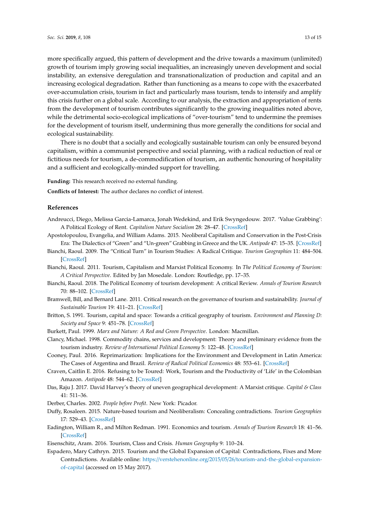more specifically argued, this pattern of development and the drive towards a maximum (unlimited) growth of tourism imply growing social inequalities, an increasingly uneven development and social instability, an extensive deregulation and transnationalization of production and capital and an increasing ecological degradation. Rather than functioning as a means to cope with the exacerbated over-accumulation crisis, tourism in fact and particularly mass tourism, tends to intensify and amplify this crisis further on a global scale. According to our analysis, the extraction and appropriation of rents from the development of tourism contributes significantly to the growing inequalities noted above, while the detrimental socio-ecological implications of "over-tourism" tend to undermine the premises for the development of tourism itself, undermining thus more generally the conditions for social and ecological sustainability.

There is no doubt that a socially and ecologically sustainable tourism can only be ensured beyond capitalism, within a communist perspective and social planning, with a radical reduction of real or fictitious needs for tourism, a de-commodification of tourism, an authentic honouring of hospitality and a sufficient and ecologically-minded support for travelling.

**Funding:** This research received no external funding.

**Conflicts of Interest:** The author declares no conflict of interest.

### **References**

- <span id="page-12-13"></span>Andreucci, Diego, Melissa Garcia-Lamarca, Jonah Wedekind, and Erik Swyngedouw. 2017. 'Value Grabbing': A Political Ecology of Rent. *Capitalism Nature Socialism* 28: 28–47. [\[CrossRef\]](http://dx.doi.org/10.1080/10455752.2016.1278027)
- <span id="page-12-14"></span>Apostolopoulou, Evangelia, and William Adams. 2015. Neoliberal Capitalism and Conservation in the Post-Crisis Era: The Dialectics of "Green" and "Un-green" Grabbing in Greece and the UK. *Antipode* 47: 15–35. [\[CrossRef\]](http://dx.doi.org/10.1111/anti.12102)
- <span id="page-12-1"></span>Bianchi, Raoul. 2009. The "Critical Turn" in Tourism Studies: A Radical Critique. *Tourism Geographies* 11: 484–504. [\[CrossRef\]](http://dx.doi.org/10.1080/14616680903262653)
- <span id="page-12-2"></span>Bianchi, Raoul. 2011. Tourism, Capitalism and Marxist Political Economy. In *The Political Economy of Tourism: A Critical Perspective*. Edited by Jan Mosedale. London: Routledge, pp. 17–35.
- <span id="page-12-8"></span>Bianchi, Raoul. 2018. The Political Economy of tourism development: A critical Review. *Annals of Tourism Research* 70: 88–102. [\[CrossRef\]](http://dx.doi.org/10.1016/j.annals.2017.08.005)
- <span id="page-12-4"></span>Bramwell, Bill, and Bernard Lane. 2011. Critical research on the governance of tourism and sustainability. *Journal of Sustainable Tourism* 19: 411–21. [\[CrossRef\]](http://dx.doi.org/10.1080/09669582.2011.580586)
- <span id="page-12-5"></span>Britton, S. 1991. Tourism, capital and space: Towards a critical geography of tourism. *Environment and Planning D: Society and Space* 9: 451–78. [\[CrossRef\]](http://dx.doi.org/10.1068/d090451)
- <span id="page-12-12"></span>Burkett, Paul. 1999. *Marx and Nature: A Red and Green Perspective*. London: Macmillan.
- <span id="page-12-6"></span>Clancy, Michael. 1998. Commodity chains, services and development: Theory and preliminary evidence from the tourism industry. *Review of International Political Economy* 5: 122–48. [\[CrossRef\]](http://dx.doi.org/10.1080/096922998347679)
- <span id="page-12-15"></span>Cooney, Paul. 2016. Reprimarization: Implications for the Environment and Development in Latin America: The Cases of Argentina and Brazil. *Review of Radical Political Economics* 48: 553–61. [\[CrossRef\]](http://dx.doi.org/10.1177/0486613416655639)
- <span id="page-12-16"></span>Craven, Caitlin E. 2016. Refusing to be Toured: Work, Tourism and the Productivity of 'Life' in the Colombian Amazon. *Antipode* 48: 544–62. [\[CrossRef\]](http://dx.doi.org/10.1111/anti.12208)
- <span id="page-12-11"></span>Das, Raju J. 2017. David Harvey's theory of uneven geographical development: A Marxist critique. *Capital & Class* 41: 511–36.
- <span id="page-12-10"></span>Derber, Charles. 2002. *People before Profit*. New York: Picador.
- <span id="page-12-3"></span>Duffy, Rosaleen. 2015. Nature-based tourism and Neoliberalism: Concealing contradictions. *Tourism Geographies* 17: 529–43. [\[CrossRef\]](http://dx.doi.org/10.1080/14616688.2015.1053972)
- <span id="page-12-0"></span>Eadington, William R., and Milton Redman. 1991. Economics and tourism. *Annals of Tourism Research* 18: 41–56. [\[CrossRef\]](http://dx.doi.org/10.1016/0160-7383(91)90038-D)
- <span id="page-12-9"></span>Eisenschitz, Aram. 2016. Tourism, Class and Crisis. *Human Geography* 9: 110–24.
- <span id="page-12-7"></span>Espadero, Mary Cathryn. 2015. Tourism and the Global Expansion of Capital: Contradictions, Fixes and More Contradictions. Available online: https://verstehenonline.org/2015/05/26/[tourism-and-the-global-expansion](https://verstehenonline.org/2015/05/26/tourism-and-the-global-expansion-of-capital)[of-capital](https://verstehenonline.org/2015/05/26/tourism-and-the-global-expansion-of-capital) (accessed on 15 May 2017).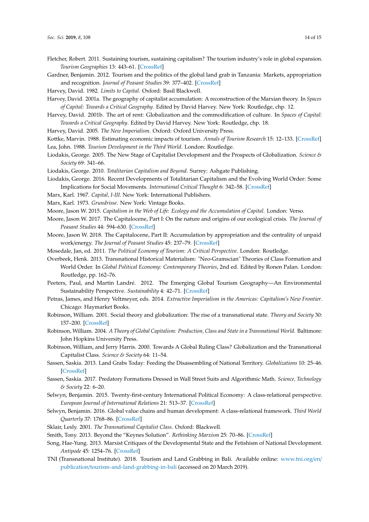- <span id="page-13-1"></span>Fletcher, Robert. 2011. Sustaining tourism, sustaining capitalism? The tourism industry's role in global expansion. *Tourism Geographies* 13: 443–61. [\[CrossRef\]](http://dx.doi.org/10.1080/14616688.2011.570372)
- <span id="page-13-21"></span>Gardner, Benjamin. 2012. Tourism and the politics of the global land grab in Tanzania: Markets, appropriation and recognition. *Journal of Peasant Studies* 39: 377–402. [\[CrossRef\]](http://dx.doi.org/10.1080/03066150.2012.666973)
- <span id="page-13-28"></span>Harvey, David. 1982. *Limits to Capital*. Oxford: Basil Blackwell.

<span id="page-13-15"></span>Harvey, David. 2001a. The geography of capitalist accumulation: A reconstruction of the Marxian theory. In *Spaces of Capital: Towards a Critical Geography*. Edited by David Harvey. New York: Routledge, chp. 12.

- <span id="page-13-27"></span>Harvey, David. 2001b. The art of rent: Globalization and the commodification of culture. In *Spaces of Capital: Towards a Critical Geography*. Edited by David Harvey. New York: Routledge, chp. 18.
- <span id="page-13-23"></span><span id="page-13-0"></span>Harvey, David. 2005. *The New Imperialism*. Oxford: Oxford University Press.

<span id="page-13-2"></span>Kottke, Marvin. 1988. Estimating economic impacts of tourism. *Annals of Tourism Research* 15: 12–133. [\[CrossRef\]](http://dx.doi.org/10.1016/0160-7383(88)90075-8) Lea, John. 1988. *Tourism Development in the Third World*. London: Routledge.

- <span id="page-13-11"></span>Liodakis, George. 2005. The New Stage of Capitalist Development and the Prospects of Globalization. *Science & Society* 69: 341–66.
- <span id="page-13-12"></span>Liodakis, George. 2010. *Totalitarian Capitalism and Beyond*. Surrey: Ashgate Publishing.
- <span id="page-13-6"></span>Liodakis, George. 2016. Recent Developments of Totalitarian Capitalism and the Evolving World Order: Some Implications for Social Movements. *International Critical Thought* 6: 342–58. [\[CrossRef\]](http://dx.doi.org/10.1080/21598282.2016.1197998)
- <span id="page-13-14"></span><span id="page-13-13"></span>Marx, Karl. 1967. *Capital, I-III*. New York: International Publishers.
- Marx, Karl. 1973. *Grundrisse*. New York: Vintage Books.

<span id="page-13-18"></span><span id="page-13-17"></span>Moore, Jason W. 2015. *Capitalism in the Web of Life: Ecology and the Accumulation of Capital*. London: Verso.

- Moore, Jason W. 2017. The Capitalocene, Part I: On the nature and origins of our ecological crisis. *The Journal of Peasant Studies* 44: 594–630. [\[CrossRef\]](http://dx.doi.org/10.1080/03066150.2016.1235036)
- <span id="page-13-19"></span>Moore, Jason W. 2018. The Capitalocene, Part II: Accumulation by appropriation and the centrality of unpaid work/energy. *The Journal of Peasant Studies* 45: 237–79. [\[CrossRef\]](http://dx.doi.org/10.1080/03066150.2016.1272587)
- <span id="page-13-3"></span>Mosedale, Jan, ed. 2011. *The Political Economy of Tourism: A Critical Perspective*. London: Routledge.
- <span id="page-13-4"></span>Overbeek, Henk. 2013. Transnational Historical Materialism: "Neo-Gramscian" Theories of Class Formation and World Order. In *Global Political Economy: Contemporary Theories*, 2nd ed. Edited by Ronen Palan. London: Routledge, pp. 162–76.
- <span id="page-13-26"></span>Peeters, Paul, and Martin Landré. 2012. The Emerging Global Tourism Geography—An Environmental Sustainability Perspective. *Sustainability* 4: 42–71. [\[CrossRef\]](http://dx.doi.org/10.3390/su4010042)
- <span id="page-13-30"></span>Petras, James, and Henry Veltmeyer, eds. 2014. *Extractive Imperialism in the Americas: Capitalism's New Frontier*. Chicago: Haymarket Books.
- <span id="page-13-8"></span>Robinson, William. 2001. Social theory and globalization: The rise of a transnational state. *Theory and Society* 30: 157–200. [\[CrossRef\]](http://dx.doi.org/10.1023/A:1011077330455)
- <span id="page-13-9"></span>Robinson, William. 2004. *A Theory of Global Capitalism: Production, Class and State in a Transnational World*. Baltimore: John Hopkins University Press.
- <span id="page-13-7"></span>Robinson, William, and Jerry Harris. 2000. Towards A Global Ruling Class? Globalization and the Transnational Capitalist Class. *Science & Society* 64: 11–54.
- <span id="page-13-20"></span>Sassen, Saskia. 2013. Land Grabs Today: Feeding the Disassembling of National Territory. *Globalizations* 10: 25–46. [\[CrossRef\]](http://dx.doi.org/10.1080/14747731.2013.760927)
- <span id="page-13-29"></span>Sassen, Saskia. 2017. Predatory Formations Dressed in Wall Street Suits and Algorithmic Math. *Science, Technology & Society* 22: 6–20.
- <span id="page-13-5"></span>Selwyn, Benjamin. 2015. Twenty-first-century International Political Economy: A class-relational perspective. *European Journal of International Relations* 21: 513–37. [\[CrossRef\]](http://dx.doi.org/10.1177/1354066114556659)
- <span id="page-13-16"></span>Selwyn, Benjamin. 2016. Global value chains and human development: A class-relational framework. *Third World Quarterly* 37: 1768–86. [\[CrossRef\]](http://dx.doi.org/10.1080/01436597.2016.1156484)
- <span id="page-13-10"></span>Sklair, Lesly. 2001. *The Transnational Capitalist Class*. Oxford: Blackwell.
- <span id="page-13-25"></span>Smith, Tony. 2013. Beyond the "Keynes Solution". *Rethinking Marxism* 25: 70–86. [\[CrossRef\]](http://dx.doi.org/10.1080/08935696.2013.741304)
- <span id="page-13-24"></span>Song, Hae-Yung. 2013. Marxist Critiques of the Developmental State and the Fetishism of National Development. *Antipode* 45: 1254–76. [\[CrossRef\]](http://dx.doi.org/10.1111/anti.12024)
- <span id="page-13-22"></span>TNI (Transnational Institute). 2018. Tourism and Land Grabbing in Bali. Available online: [www.tni.org](www.tni.org/en/publication/tourism-and-land-grabbing-in-bali)/en/ publication/[tourism-and-land-grabbing-in-bali](www.tni.org/en/publication/tourism-and-land-grabbing-in-bali) (accessed on 20 March 2019).